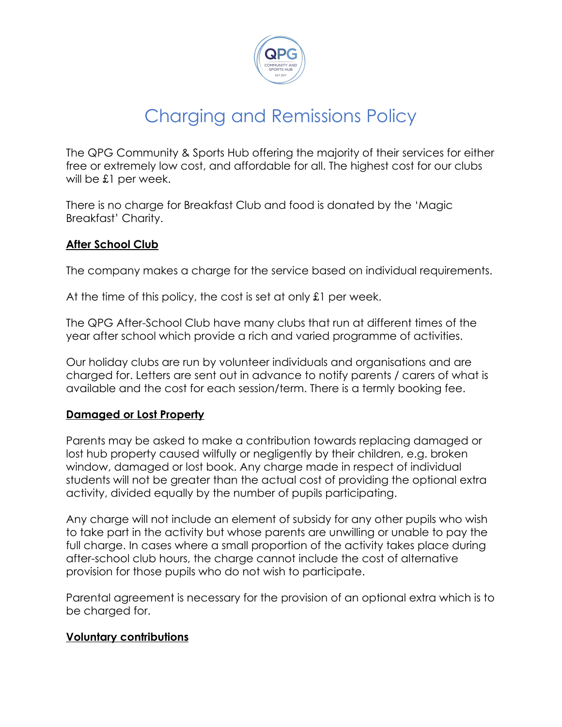

# Charging and Remissions Policy

The QPG Community & Sports Hub offering the majority of their services for either free or extremely low cost, and affordable for all. The highest cost for our clubs will be £1 per week.

There is no charge for Breakfast Club and food is donated by the 'Magic Breakfast' Charity.

### **After School Club**

The company makes a charge for the service based on individual requirements.

At the time of this policy, the cost is set at only £1 per week.

The QPG After-School Club have many clubs that run at different times of the year after school which provide a rich and varied programme of activities.

Our holiday clubs are run by volunteer individuals and organisations and are charged for. Letters are sent out in advance to notify parents / carers of what is available and the cost for each session/term. There is a termly booking fee.

### **Damaged or Lost Property**

Parents may be asked to make a contribution towards replacing damaged or lost hub property caused wilfully or negligently by their children, e.g. broken window, damaged or lost book. Any charge made in respect of individual students will not be greater than the actual cost of providing the optional extra activity, divided equally by the number of pupils participating.

Any charge will not include an element of subsidy for any other pupils who wish to take part in the activity but whose parents are unwilling or unable to pay the full charge. In cases where a small proportion of the activity takes place during after-school club hours, the charge cannot include the cost of alternative provision for those pupils who do not wish to participate.

Parental agreement is necessary for the provision of an optional extra which is to be charged for.

#### **Voluntary contributions**